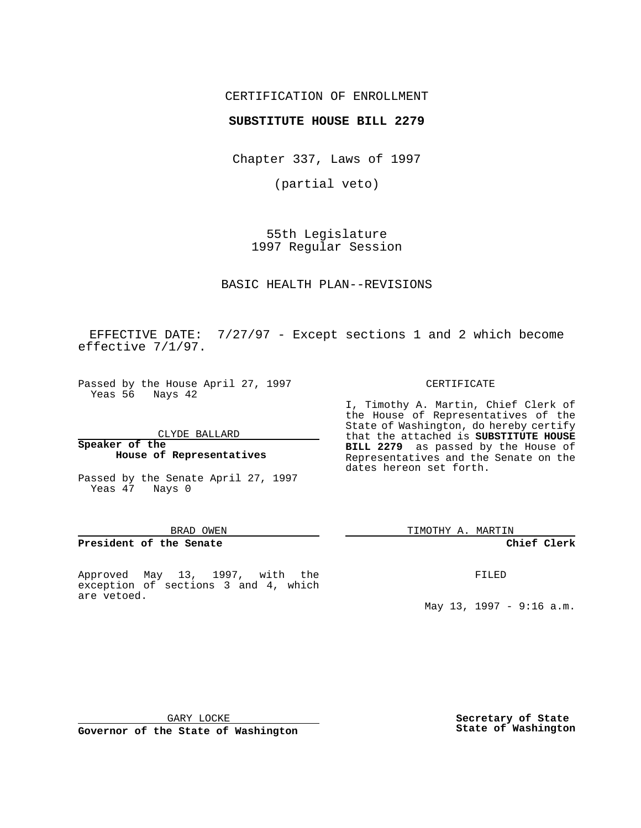# CERTIFICATION OF ENROLLMENT

## **SUBSTITUTE HOUSE BILL 2279**

Chapter 337, Laws of 1997

(partial veto)

55th Legislature 1997 Regular Session

BASIC HEALTH PLAN--REVISIONS

EFFECTIVE DATE: 7/27/97 - Except sections 1 and 2 which become effective 7/1/97.

Passed by the House April 27, 1997 Yeas 56 Nays 42

CLYDE BALLARD

### **Speaker of the House of Representatives**

Passed by the Senate April 27, 1997 Yeas 47 Nays 0

#### BRAD OWEN

### **President of the Senate**

Approved May 13, 1997, with the exception of sections 3 and 4, which are vetoed.

#### CERTIFICATE

I, Timothy A. Martin, Chief Clerk of the House of Representatives of the State of Washington, do hereby certify that the attached is **SUBSTITUTE HOUSE BILL 2279** as passed by the House of Representatives and the Senate on the dates hereon set forth.

TIMOTHY A. MARTIN

## **Chief Clerk**

FILED

May 13, 1997 - 9:16 a.m.

GARY LOCKE

**Governor of the State of Washington**

**Secretary of State State of Washington**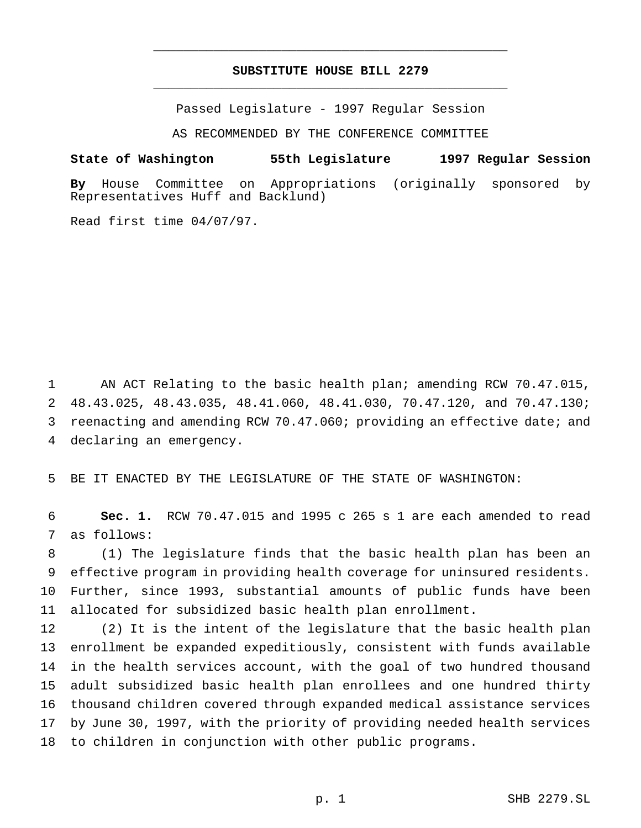# **SUBSTITUTE HOUSE BILL 2279** \_\_\_\_\_\_\_\_\_\_\_\_\_\_\_\_\_\_\_\_\_\_\_\_\_\_\_\_\_\_\_\_\_\_\_\_\_\_\_\_\_\_\_\_\_\_\_

\_\_\_\_\_\_\_\_\_\_\_\_\_\_\_\_\_\_\_\_\_\_\_\_\_\_\_\_\_\_\_\_\_\_\_\_\_\_\_\_\_\_\_\_\_\_\_

Passed Legislature - 1997 Regular Session

AS RECOMMENDED BY THE CONFERENCE COMMITTEE

### **State of Washington 55th Legislature 1997 Regular Session**

**By** House Committee on Appropriations (originally sponsored by Representatives Huff and Backlund)

Read first time 04/07/97.

1 AN ACT Relating to the basic health plan; amending RCW 70.47.015, 48.43.025, 48.43.035, 48.41.060, 48.41.030, 70.47.120, and 70.47.130; reenacting and amending RCW 70.47.060; providing an effective date; and declaring an emergency.

BE IT ENACTED BY THE LEGISLATURE OF THE STATE OF WASHINGTON:

 **Sec. 1.** RCW 70.47.015 and 1995 c 265 s 1 are each amended to read as follows:

 (1) The legislature finds that the basic health plan has been an effective program in providing health coverage for uninsured residents. Further, since 1993, substantial amounts of public funds have been allocated for subsidized basic health plan enrollment.

 (2) It is the intent of the legislature that the basic health plan enrollment be expanded expeditiously, consistent with funds available in the health services account, with the goal of two hundred thousand adult subsidized basic health plan enrollees and one hundred thirty thousand children covered through expanded medical assistance services by June 30, 1997, with the priority of providing needed health services to children in conjunction with other public programs.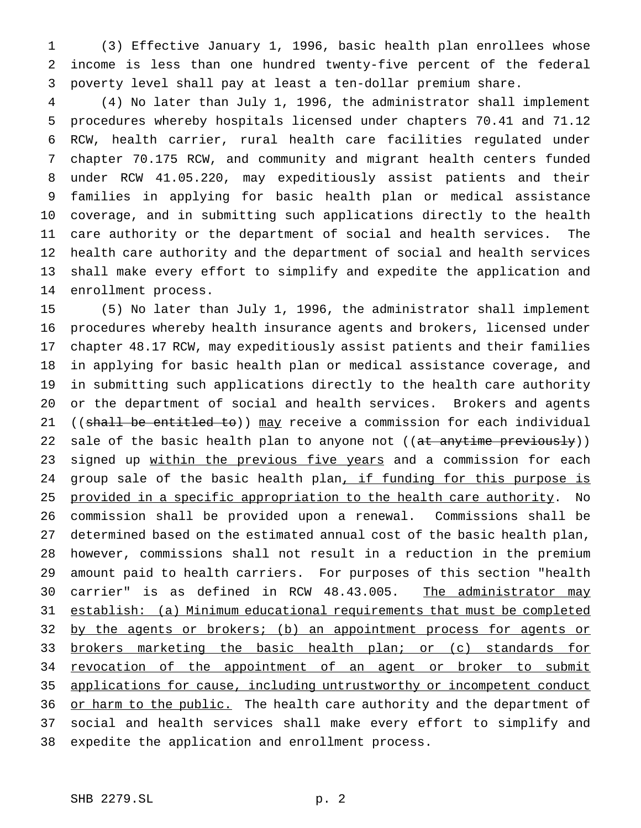(3) Effective January 1, 1996, basic health plan enrollees whose income is less than one hundred twenty-five percent of the federal poverty level shall pay at least a ten-dollar premium share.

 (4) No later than July 1, 1996, the administrator shall implement procedures whereby hospitals licensed under chapters 70.41 and 71.12 RCW, health carrier, rural health care facilities regulated under chapter 70.175 RCW, and community and migrant health centers funded under RCW 41.05.220, may expeditiously assist patients and their families in applying for basic health plan or medical assistance coverage, and in submitting such applications directly to the health care authority or the department of social and health services. The health care authority and the department of social and health services shall make every effort to simplify and expedite the application and enrollment process.

 (5) No later than July 1, 1996, the administrator shall implement procedures whereby health insurance agents and brokers, licensed under chapter 48.17 RCW, may expeditiously assist patients and their families in applying for basic health plan or medical assistance coverage, and in submitting such applications directly to the health care authority or the department of social and health services. Brokers and agents 21 ((shall be entitled to)) may receive a commission for each individual 22 sale of the basic health plan to anyone not ((at anytime previously)) 23 signed up within the previous five years and a commission for each 24 group sale of the basic health plan, if funding for this purpose is 25 provided in a specific appropriation to the health care authority. No commission shall be provided upon a renewal. Commissions shall be determined based on the estimated annual cost of the basic health plan, however, commissions shall not result in a reduction in the premium amount paid to health carriers. For purposes of this section "health 30 carrier" is as defined in RCW 48.43.005. The administrator may establish: (a) Minimum educational requirements that must be completed 32 by the agents or brokers; (b) an appointment process for agents or 33 brokers marketing the basic health plan; or (c) standards for 34 revocation of the appointment of an agent or broker to submit applications for cause, including untrustworthy or incompetent conduct 36 or harm to the public. The health care authority and the department of social and health services shall make every effort to simplify and expedite the application and enrollment process.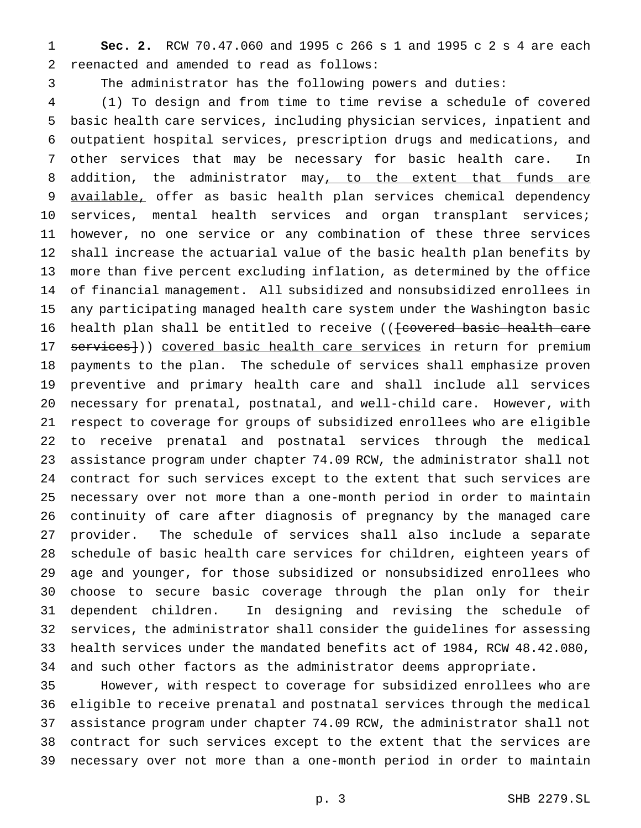**Sec. 2.** RCW 70.47.060 and 1995 c 266 s 1 and 1995 c 2 s 4 are each reenacted and amended to read as follows:

The administrator has the following powers and duties:

 (1) To design and from time to time revise a schedule of covered basic health care services, including physician services, inpatient and outpatient hospital services, prescription drugs and medications, and other services that may be necessary for basic health care. In 8 addition, the administrator may, to the extent that funds are 9 available, offer as basic health plan services chemical dependency services, mental health services and organ transplant services; however, no one service or any combination of these three services shall increase the actuarial value of the basic health plan benefits by more than five percent excluding inflation, as determined by the office of financial management. All subsidized and nonsubsidized enrollees in any participating managed health care system under the Washington basic 16 health plan shall be entitled to receive ((feovered basic health care 17 services])) covered basic health care services in return for premium payments to the plan. The schedule of services shall emphasize proven preventive and primary health care and shall include all services necessary for prenatal, postnatal, and well-child care. However, with respect to coverage for groups of subsidized enrollees who are eligible to receive prenatal and postnatal services through the medical assistance program under chapter 74.09 RCW, the administrator shall not contract for such services except to the extent that such services are necessary over not more than a one-month period in order to maintain continuity of care after diagnosis of pregnancy by the managed care provider. The schedule of services shall also include a separate schedule of basic health care services for children, eighteen years of age and younger, for those subsidized or nonsubsidized enrollees who choose to secure basic coverage through the plan only for their dependent children. In designing and revising the schedule of services, the administrator shall consider the guidelines for assessing health services under the mandated benefits act of 1984, RCW 48.42.080, and such other factors as the administrator deems appropriate.

 However, with respect to coverage for subsidized enrollees who are eligible to receive prenatal and postnatal services through the medical assistance program under chapter 74.09 RCW, the administrator shall not contract for such services except to the extent that the services are necessary over not more than a one-month period in order to maintain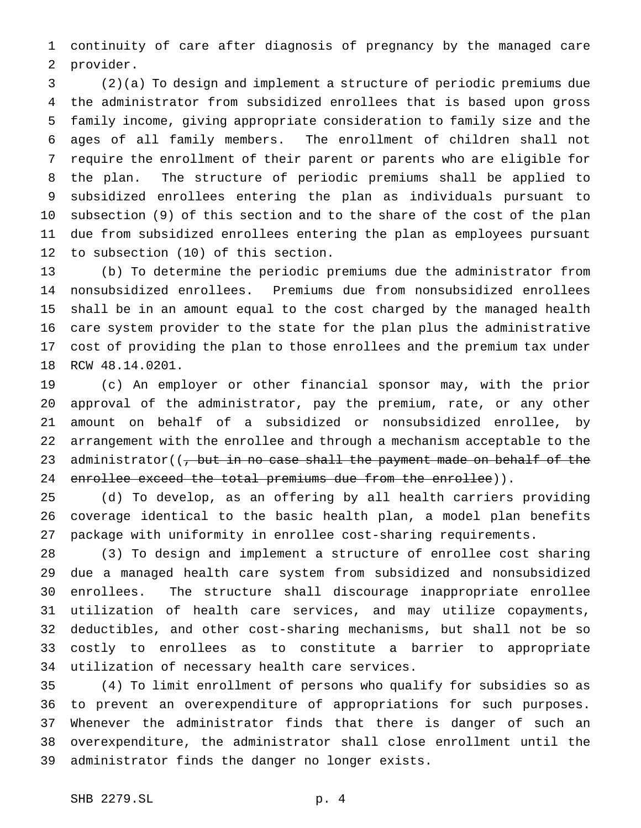continuity of care after diagnosis of pregnancy by the managed care provider.

 (2)(a) To design and implement a structure of periodic premiums due the administrator from subsidized enrollees that is based upon gross family income, giving appropriate consideration to family size and the ages of all family members. The enrollment of children shall not require the enrollment of their parent or parents who are eligible for the plan. The structure of periodic premiums shall be applied to subsidized enrollees entering the plan as individuals pursuant to subsection (9) of this section and to the share of the cost of the plan due from subsidized enrollees entering the plan as employees pursuant to subsection (10) of this section.

 (b) To determine the periodic premiums due the administrator from nonsubsidized enrollees. Premiums due from nonsubsidized enrollees shall be in an amount equal to the cost charged by the managed health care system provider to the state for the plan plus the administrative cost of providing the plan to those enrollees and the premium tax under RCW 48.14.0201.

 (c) An employer or other financial sponsor may, with the prior approval of the administrator, pay the premium, rate, or any other amount on behalf of a subsidized or nonsubsidized enrollee, by arrangement with the enrollee and through a mechanism acceptable to the 23 administrator((, but in no case shall the payment made on behalf of the 24 enrollee exceed the total premiums due from the enrollee)).

 (d) To develop, as an offering by all health carriers providing coverage identical to the basic health plan, a model plan benefits package with uniformity in enrollee cost-sharing requirements.

 (3) To design and implement a structure of enrollee cost sharing due a managed health care system from subsidized and nonsubsidized enrollees. The structure shall discourage inappropriate enrollee utilization of health care services, and may utilize copayments, deductibles, and other cost-sharing mechanisms, but shall not be so costly to enrollees as to constitute a barrier to appropriate utilization of necessary health care services.

 (4) To limit enrollment of persons who qualify for subsidies so as to prevent an overexpenditure of appropriations for such purposes. Whenever the administrator finds that there is danger of such an overexpenditure, the administrator shall close enrollment until the administrator finds the danger no longer exists.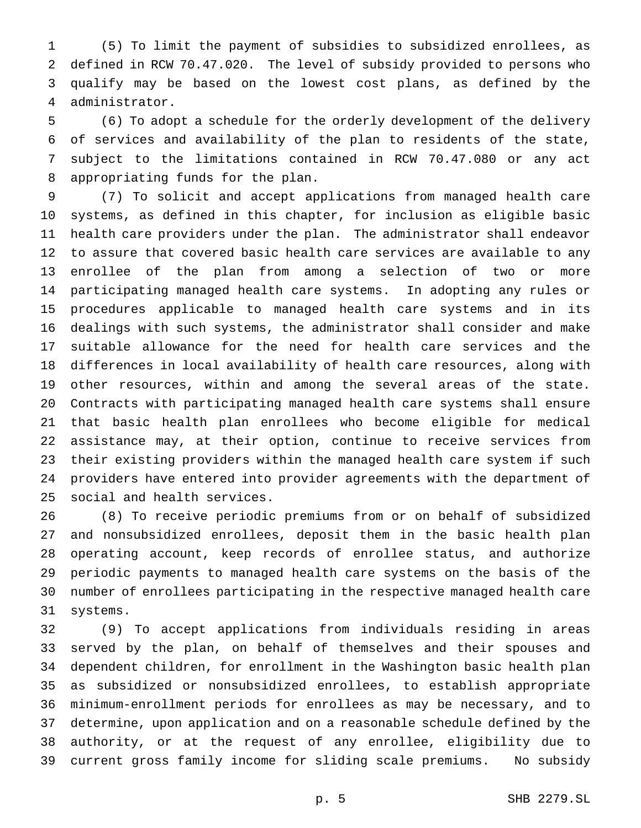(5) To limit the payment of subsidies to subsidized enrollees, as defined in RCW 70.47.020. The level of subsidy provided to persons who qualify may be based on the lowest cost plans, as defined by the administrator.

 (6) To adopt a schedule for the orderly development of the delivery of services and availability of the plan to residents of the state, subject to the limitations contained in RCW 70.47.080 or any act appropriating funds for the plan.

 (7) To solicit and accept applications from managed health care systems, as defined in this chapter, for inclusion as eligible basic health care providers under the plan. The administrator shall endeavor to assure that covered basic health care services are available to any enrollee of the plan from among a selection of two or more participating managed health care systems. In adopting any rules or procedures applicable to managed health care systems and in its dealings with such systems, the administrator shall consider and make suitable allowance for the need for health care services and the differences in local availability of health care resources, along with other resources, within and among the several areas of the state. Contracts with participating managed health care systems shall ensure that basic health plan enrollees who become eligible for medical assistance may, at their option, continue to receive services from their existing providers within the managed health care system if such providers have entered into provider agreements with the department of social and health services.

 (8) To receive periodic premiums from or on behalf of subsidized and nonsubsidized enrollees, deposit them in the basic health plan operating account, keep records of enrollee status, and authorize periodic payments to managed health care systems on the basis of the number of enrollees participating in the respective managed health care systems.

 (9) To accept applications from individuals residing in areas served by the plan, on behalf of themselves and their spouses and dependent children, for enrollment in the Washington basic health plan as subsidized or nonsubsidized enrollees, to establish appropriate minimum-enrollment periods for enrollees as may be necessary, and to determine, upon application and on a reasonable schedule defined by the authority, or at the request of any enrollee, eligibility due to current gross family income for sliding scale premiums. No subsidy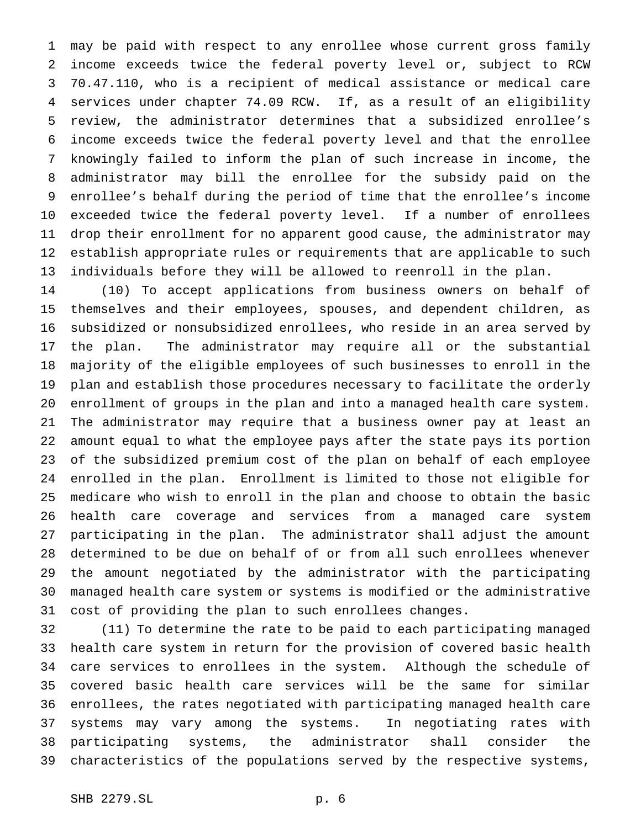may be paid with respect to any enrollee whose current gross family income exceeds twice the federal poverty level or, subject to RCW 70.47.110, who is a recipient of medical assistance or medical care services under chapter 74.09 RCW. If, as a result of an eligibility review, the administrator determines that a subsidized enrollee's income exceeds twice the federal poverty level and that the enrollee knowingly failed to inform the plan of such increase in income, the administrator may bill the enrollee for the subsidy paid on the enrollee's behalf during the period of time that the enrollee's income exceeded twice the federal poverty level. If a number of enrollees drop their enrollment for no apparent good cause, the administrator may establish appropriate rules or requirements that are applicable to such individuals before they will be allowed to reenroll in the plan.

 (10) To accept applications from business owners on behalf of themselves and their employees, spouses, and dependent children, as subsidized or nonsubsidized enrollees, who reside in an area served by the plan. The administrator may require all or the substantial majority of the eligible employees of such businesses to enroll in the plan and establish those procedures necessary to facilitate the orderly enrollment of groups in the plan and into a managed health care system. The administrator may require that a business owner pay at least an amount equal to what the employee pays after the state pays its portion of the subsidized premium cost of the plan on behalf of each employee enrolled in the plan. Enrollment is limited to those not eligible for medicare who wish to enroll in the plan and choose to obtain the basic health care coverage and services from a managed care system participating in the plan. The administrator shall adjust the amount determined to be due on behalf of or from all such enrollees whenever the amount negotiated by the administrator with the participating managed health care system or systems is modified or the administrative cost of providing the plan to such enrollees changes.

 (11) To determine the rate to be paid to each participating managed health care system in return for the provision of covered basic health care services to enrollees in the system. Although the schedule of covered basic health care services will be the same for similar enrollees, the rates negotiated with participating managed health care systems may vary among the systems. In negotiating rates with participating systems, the administrator shall consider the characteristics of the populations served by the respective systems,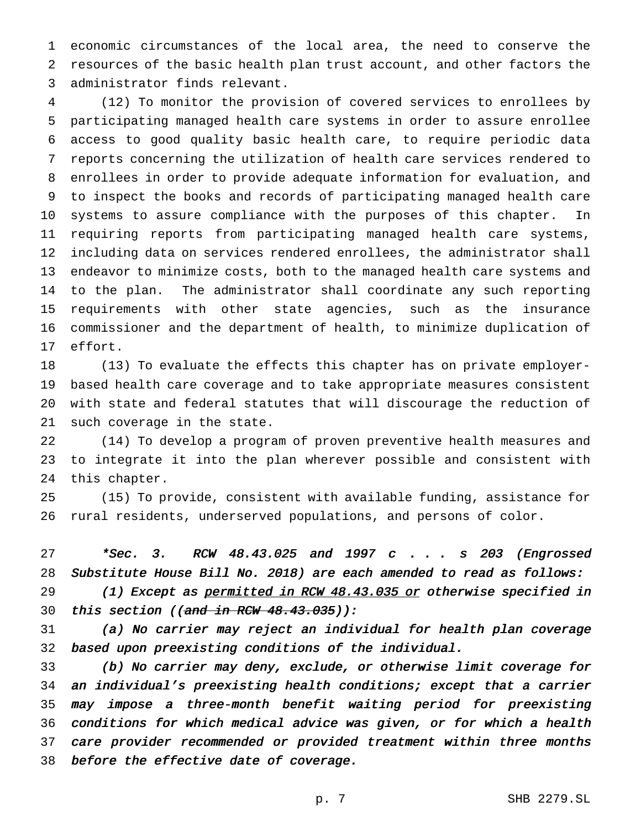economic circumstances of the local area, the need to conserve the resources of the basic health plan trust account, and other factors the administrator finds relevant.

 (12) To monitor the provision of covered services to enrollees by participating managed health care systems in order to assure enrollee access to good quality basic health care, to require periodic data reports concerning the utilization of health care services rendered to enrollees in order to provide adequate information for evaluation, and to inspect the books and records of participating managed health care systems to assure compliance with the purposes of this chapter. In requiring reports from participating managed health care systems, including data on services rendered enrollees, the administrator shall endeavor to minimize costs, both to the managed health care systems and to the plan. The administrator shall coordinate any such reporting requirements with other state agencies, such as the insurance commissioner and the department of health, to minimize duplication of effort.

 (13) To evaluate the effects this chapter has on private employer- based health care coverage and to take appropriate measures consistent with state and federal statutes that will discourage the reduction of such coverage in the state.

 (14) To develop a program of proven preventive health measures and to integrate it into the plan wherever possible and consistent with this chapter.

 (15) To provide, consistent with available funding, assistance for rural residents, underserved populations, and persons of color.

 \*Sec. 3. RCW 48.43.025 and <sup>1997</sup> <sup>c</sup> . . . <sup>s</sup> <sup>203</sup> (Engrossed Substitute House Bill No. 2018) are each amended to read as follows:

29 (1) Except as permitted in RCW 48.43.035 or otherwise specified in 30 this section ((and in RCW  $48.43.035$ )):

 (a) No carrier may reject an individual for health plan coverage based upon preexisting conditions of the individual.

 (b) No carrier may deny, exclude, or otherwise limit coverage for an individual's preexisting health conditions; except that <sup>a</sup> carrier may impose <sup>a</sup> three-month benefit waiting period for preexisting conditions for which medical advice was given, or for which <sup>a</sup> health care provider recommended or provided treatment within three months before the effective date of coverage.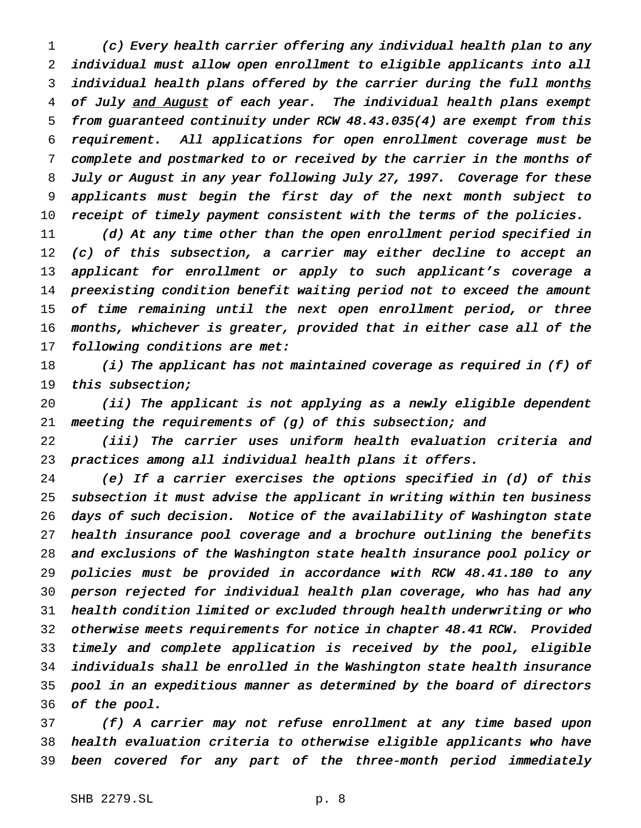(c) Every health carrier offering any individual health plan to any individual must allow open enrollment to eligible applicants into all 3 individual health plans offered by the carrier during the full months 4 of July and August of each year. The individual health plans exempt from guaranteed continuity under RCW 48.43.035(4) are exempt from this requirement. All applications for open enrollment coverage must be complete and postmarked to or received by the carrier in the months of July or August in any year following July 27, 1997. Coverage for these applicants must begin the first day of the next month subject to receipt of timely payment consistent with the terms of the policies.

 (d) At any time other than the open enrollment period specified in 12 (c) of this subsection, a carrier may either decline to accept an 13 applicant for enrollment or apply to such applicant's coverage a preexisting condition benefit waiting period not to exceed the amount of time remaining until the next open enrollment period, or three months, whichever is greater, provided that in either case all of the following conditions are met:

 $(i)$  The applicant has not maintained coverage as required in (f) of this subsection;

 (ii) The applicant is not applying as <sup>a</sup> newly eligible dependent meeting the requirements of (g) of this subsection; and

 (iii) The carrier uses uniform health evaluation criteria and practices among all individual health plans it offers.

 (e) If <sup>a</sup> carrier exercises the options specified in (d) of this subsection it must advise the applicant in writing within ten business days of such decision. Notice of the availability of Washington state health insurance pool coverage and <sup>a</sup> brochure outlining the benefits and exclusions of the Washington state health insurance pool policy or policies must be provided in accordance with RCW 48.41.180 to any person rejected for individual health plan coverage, who has had any health condition limited or excluded through health underwriting or who otherwise meets requirements for notice in chapter 48.41 RCW. Provided timely and complete application is received by the pool, eligible individuals shall be enrolled in the Washington state health insurance pool in an expeditious manner as determined by the board of directors of the pool.

 (f) <sup>A</sup> carrier may not refuse enrollment at any time based upon health evaluation criteria to otherwise eligible applicants who have been covered for any part of the three-month period immediately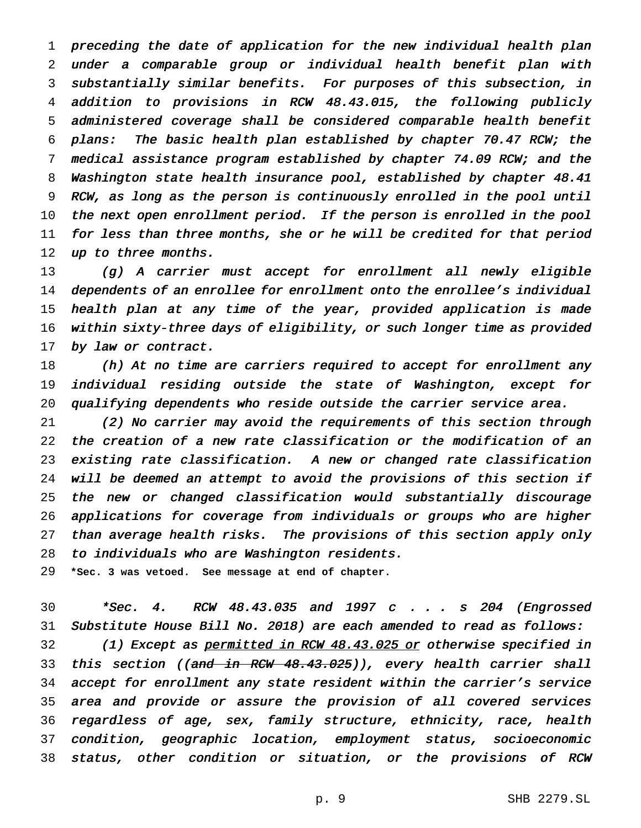preceding the date of application for the new individual health plan under <sup>a</sup> comparable group or individual health benefit plan with substantially similar benefits. For purposes of this subsection, in addition to provisions in RCW 48.43.015, the following publicly administered coverage shall be considered comparable health benefit plans: The basic health plan established by chapter 70.47 RCW; the medical assistance program established by chapter 74.09 RCW; and the Washington state health insurance pool, established by chapter 48.41 RCW, as long as the person is continuously enrolled in the pool until the next open enrollment period. If the person is enrolled in the pool for less than three months, she or he will be credited for that period 12 up to three months.

 (g) <sup>A</sup> carrier must accept for enrollment all newly eligible 14 dependents of an enrollee for enrollment onto the enrollee's individual health plan at any time of the year, provided application is made within sixty-three days of eligibility, or such longer time as provided 17 by law or contract.

18 (h) At no time are carriers required to accept for enrollment any individual residing outside the state of Washington, except for qualifying dependents who reside outside the carrier service area.

 (2) No carrier may avoid the requirements of this section through the creation of <sup>a</sup> new rate classification or the modification of an existing rate classification. <sup>A</sup> new or changed rate classification will be deemed an attempt to avoid the provisions of this section if the new or changed classification would substantially discourage applications for coverage from individuals or groups who are higher than average health risks. The provisions of this section apply only to individuals who are Washington residents.

**\*Sec. 3 was vetoed. See message at end of chapter.**

 \*Sec. 4. RCW 48.43.035 and <sup>1997</sup> <sup>c</sup> . . . <sup>s</sup> <sup>204</sup> (Engrossed Substitute House Bill No. 2018) are each amended to read as follows: 32 (1) Except as permitted in RCW 48.43.025 or otherwise specified in 33 this section ((and in RCW 48.43.025)), every health carrier shall accept for enrollment any state resident within the carrier's service area and provide or assure the provision of all covered services regardless of age, sex, family structure, ethnicity, race, health condition, geographic location, employment status, socioeconomic status, other condition or situation, or the provisions of RCW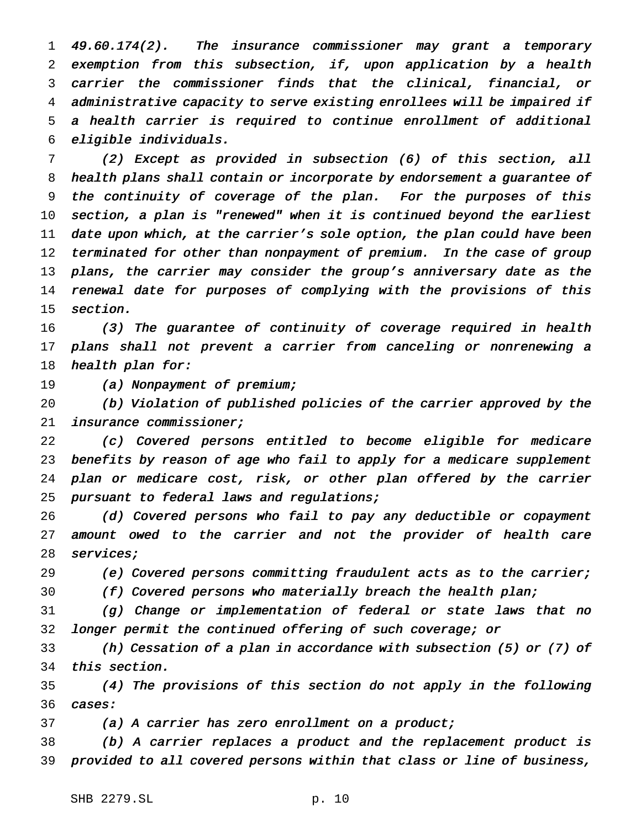49.60.174(2). The insurance commissioner may grant <sup>a</sup> temporary exemption from this subsection, if, upon application by <sup>a</sup> health carrier the commissioner finds that the clinical, financial, or administrative capacity to serve existing enrollees will be impaired if <sup>a</sup> health carrier is required to continue enrollment of additional eligible individuals.

 (2) Except as provided in subsection (6) of this section, all health plans shall contain or incorporate by endorsement <sup>a</sup> guarantee of the continuity of coverage of the plan. For the purposes of this section, <sup>a</sup> plan is "renewed" when it is continued beyond the earliest date upon which, at the carrier's sole option, the plan could have been 12 terminated for other than nonpayment of premium. In the case of group 13 plans, the carrier may consider the group's anniversary date as the renewal date for purposes of complying with the provisions of this section.

 (3) The guarantee of continuity of coverage required in health plans shall not prevent <sup>a</sup> carrier from canceling or nonrenewing <sup>a</sup> 18 health plan for:

19 (a) Nonpayment of premium;

 (b) Violation of published policies of the carrier approved by the insurance commissioner;

 (c) Covered persons entitled to become eligible for medicare benefits by reason of age who fail to apply for <sup>a</sup> medicare supplement plan or medicare cost, risk, or other plan offered by the carrier 25 pursuant to federal laws and regulations;

 (d) Covered persons who fail to pay any deductible or copayment amount owed to the carrier and not the provider of health care 28 services;

(e) Covered persons committing fraudulent acts as to the carrier;

(f) Covered persons who materially breach the health plan;

 (g) Change or implementation of federal or state laws that no longer permit the continued offering of such coverage; or

 (h) Cessation of <sup>a</sup> plan in accordance with subsection (5) or (7) of this section.

 (4) The provisions of this section do not apply in the following cases:

(a) <sup>A</sup> carrier has zero enrollment on <sup>a</sup> product;

 (b) <sup>A</sup> carrier replaces <sup>a</sup> product and the replacement product is provided to all covered persons within that class or line of business,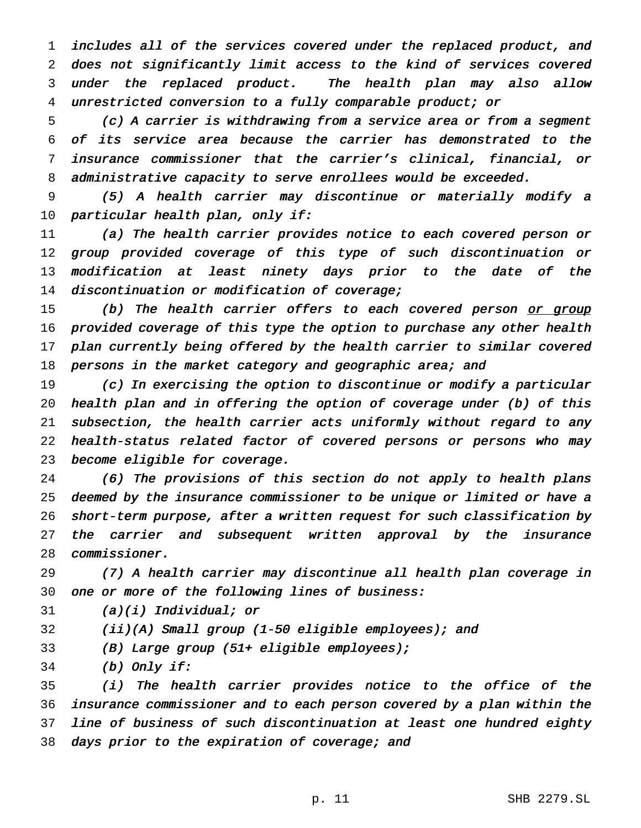includes all of the services covered under the replaced product, and does not significantly limit access to the kind of services covered under the replaced product. The health plan may also allow unrestricted conversion to <sup>a</sup> fully comparable product; or

 (c) <sup>A</sup> carrier is withdrawing from <sup>a</sup> service area or from <sup>a</sup> segment of its service area because the carrier has demonstrated to the insurance commissioner that the carrier's clinical, financial, or administrative capacity to serve enrollees would be exceeded.

 (5) <sup>A</sup> health carrier may discontinue or materially modify <sup>a</sup> particular health plan, only if:

 (a) The health carrier provides notice to each covered person or group provided coverage of this type of such discontinuation or modification at least ninety days prior to the date of the discontinuation or modification of coverage;

15 (b) The health carrier offers to each covered person or group provided coverage of this type the option to purchase any other health plan currently being offered by the health carrier to similar covered 18 persons in the market category and geographic area; and

 (c) In exercising the option to discontinue or modify <sup>a</sup> particular health plan and in offering the option of coverage under (b) of this subsection, the health carrier acts uniformly without regard to any health-status related factor of covered persons or persons who may become eligible for coverage.

 (6) The provisions of this section do not apply to health plans deemed by the insurance commissioner to be unique or limited or have <sup>a</sup> short-term purpose, after <sup>a</sup> written request for such classification by 27 the carrier and subsequent written approval by the insurance commissioner.

 (7) <sup>A</sup> health carrier may discontinue all health plan coverage in one or more of the following lines of business:

31  $(a)(i)$  Individual; or

(ii)(A) Small group (1-50 eligible employees); and

(B) Large group (51+ eligible employees);

(b) Only if:

 (i) The health carrier provides notice to the office of the insurance commissioner and to each person covered by <sup>a</sup> plan within the line of business of such discontinuation at least one hundred eighty 38 days prior to the expiration of coverage; and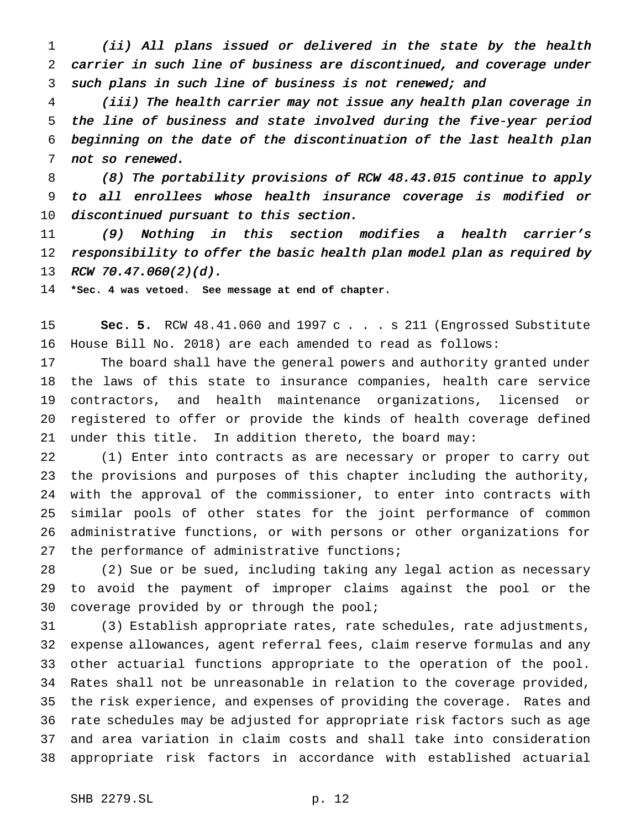(ii) All plans issued or delivered in the state by the health carrier in such line of business are discontinued, and coverage under such plans in such line of business is not renewed; and

 (iii) The health carrier may not issue any health plan coverage in the line of business and state involved during the five-year period beginning on the date of the discontinuation of the last health plan not so renewed.

 (8) The portability provisions of RCW 48.43.015 continue to apply to all enrollees whose health insurance coverage is modified or discontinued pursuant to this section.

 (9) Nothing in this section modifies <sup>a</sup> health carrier's 12 responsibility to offer the basic health plan model plan as required by 13 RCW 70.47.060(2)(d).

**\*Sec. 4 was vetoed. See message at end of chapter.**

 **Sec. 5.** RCW 48.41.060 and 1997 c . . . s 211 (Engrossed Substitute House Bill No. 2018) are each amended to read as follows:

 The board shall have the general powers and authority granted under the laws of this state to insurance companies, health care service contractors, and health maintenance organizations, licensed or registered to offer or provide the kinds of health coverage defined under this title. In addition thereto, the board may:

 (1) Enter into contracts as are necessary or proper to carry out the provisions and purposes of this chapter including the authority, with the approval of the commissioner, to enter into contracts with similar pools of other states for the joint performance of common administrative functions, or with persons or other organizations for 27 the performance of administrative functions;

 (2) Sue or be sued, including taking any legal action as necessary to avoid the payment of improper claims against the pool or the coverage provided by or through the pool;

 (3) Establish appropriate rates, rate schedules, rate adjustments, expense allowances, agent referral fees, claim reserve formulas and any other actuarial functions appropriate to the operation of the pool. Rates shall not be unreasonable in relation to the coverage provided, the risk experience, and expenses of providing the coverage. Rates and rate schedules may be adjusted for appropriate risk factors such as age and area variation in claim costs and shall take into consideration appropriate risk factors in accordance with established actuarial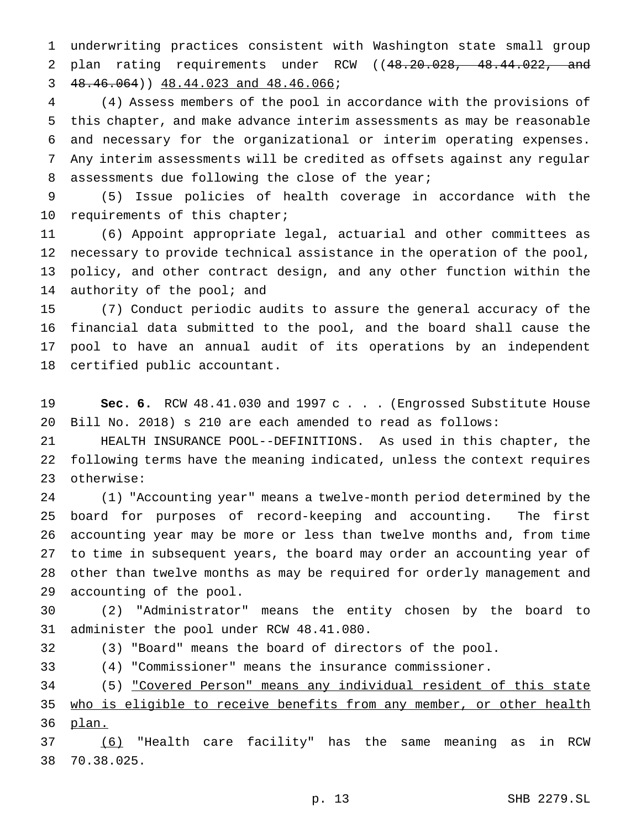underwriting practices consistent with Washington state small group 2 plan rating requirements under RCW ((48.20.028, 48.44.022, and 48.46.064)) 48.44.023 and 48.46.066;

 (4) Assess members of the pool in accordance with the provisions of this chapter, and make advance interim assessments as may be reasonable and necessary for the organizational or interim operating expenses. Any interim assessments will be credited as offsets against any regular 8 assessments due following the close of the year;

 (5) Issue policies of health coverage in accordance with the requirements of this chapter;

 (6) Appoint appropriate legal, actuarial and other committees as necessary to provide technical assistance in the operation of the pool, policy, and other contract design, and any other function within the 14 authority of the pool; and

 (7) Conduct periodic audits to assure the general accuracy of the financial data submitted to the pool, and the board shall cause the pool to have an annual audit of its operations by an independent certified public accountant.

 **Sec. 6.** RCW 48.41.030 and 1997 c . . . (Engrossed Substitute House Bill No. 2018) s 210 are each amended to read as follows:

 HEALTH INSURANCE POOL--DEFINITIONS. As used in this chapter, the following terms have the meaning indicated, unless the context requires otherwise:

 (1) "Accounting year" means a twelve-month period determined by the board for purposes of record-keeping and accounting. The first accounting year may be more or less than twelve months and, from time to time in subsequent years, the board may order an accounting year of other than twelve months as may be required for orderly management and accounting of the pool.

 (2) "Administrator" means the entity chosen by the board to administer the pool under RCW 48.41.080.

(3) "Board" means the board of directors of the pool.

(4) "Commissioner" means the insurance commissioner.

 (5) "Covered Person" means any individual resident of this state 35 who is eligible to receive benefits from any member, or other health plan.

 (6) "Health care facility" has the same meaning as in RCW 70.38.025.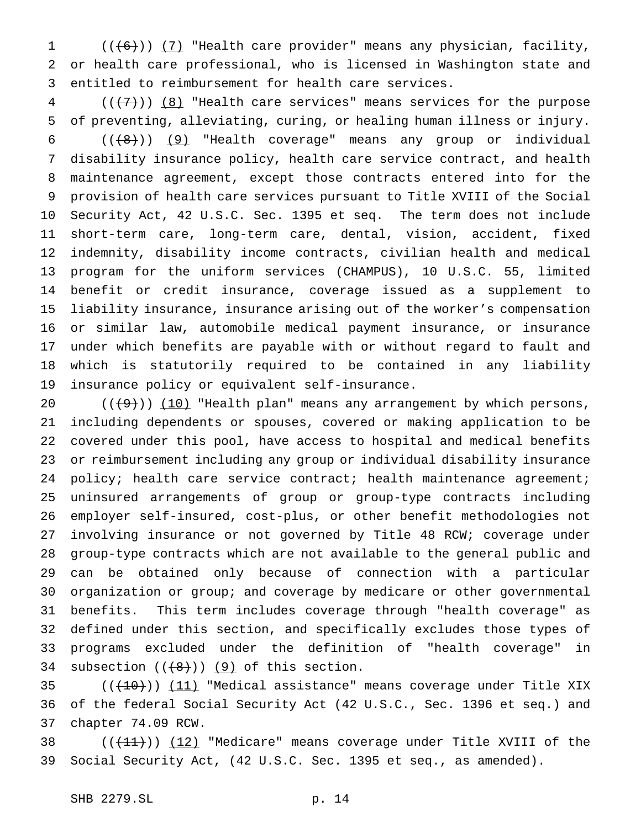1 (((6))) (7) "Health care provider" means any physician, facility, or health care professional, who is licensed in Washington state and entitled to reimbursement for health care services.

 (( $\left(\frac{1}{2}\right)$ ) (8) "Health care services" means services for the purpose of preventing, alleviating, curing, or healing human illness or injury.

 $((\langle 8\rangle))$  (9) "Health coverage" means any group or individual disability insurance policy, health care service contract, and health maintenance agreement, except those contracts entered into for the provision of health care services pursuant to Title XVIII of the Social Security Act, 42 U.S.C. Sec. 1395 et seq. The term does not include short-term care, long-term care, dental, vision, accident, fixed indemnity, disability income contracts, civilian health and medical program for the uniform services (CHAMPUS), 10 U.S.C. 55, limited benefit or credit insurance, coverage issued as a supplement to liability insurance, insurance arising out of the worker's compensation or similar law, automobile medical payment insurance, or insurance under which benefits are payable with or without regard to fault and which is statutorily required to be contained in any liability insurance policy or equivalent self-insurance.

 $((+9))$   $(10)$  "Health plan" means any arrangement by which persons, including dependents or spouses, covered or making application to be covered under this pool, have access to hospital and medical benefits or reimbursement including any group or individual disability insurance 24 policy; health care service contract; health maintenance agreement; uninsured arrangements of group or group-type contracts including employer self-insured, cost-plus, or other benefit methodologies not involving insurance or not governed by Title 48 RCW; coverage under group-type contracts which are not available to the general public and can be obtained only because of connection with a particular organization or group; and coverage by medicare or other governmental benefits. This term includes coverage through "health coverage" as defined under this section, and specifically excludes those types of programs excluded under the definition of "health coverage" in 34 subsection  $((+8))$  (9) of this section.

 $((+10))$  (11) "Medical assistance" means coverage under Title XIX of the federal Social Security Act (42 U.S.C., Sec. 1396 et seq.) and chapter 74.09 RCW.

38  $((+11))$   $(12)$  "Medicare" means coverage under Title XVIII of the Social Security Act, (42 U.S.C. Sec. 1395 et seq., as amended).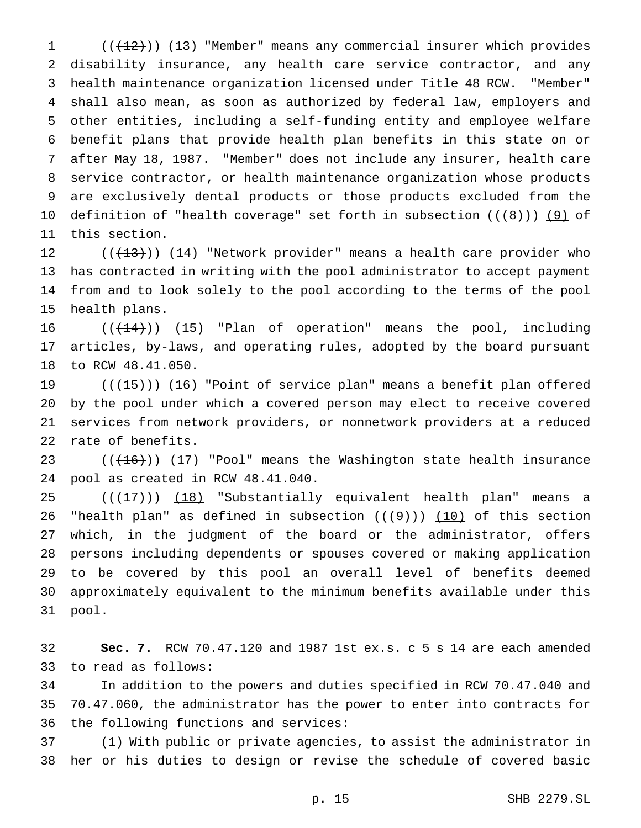1 (( $(12)$ )) (13) "Member" means any commercial insurer which provides disability insurance, any health care service contractor, and any health maintenance organization licensed under Title 48 RCW. "Member" shall also mean, as soon as authorized by federal law, employers and other entities, including a self-funding entity and employee welfare benefit plans that provide health plan benefits in this state on or after May 18, 1987. "Member" does not include any insurer, health care service contractor, or health maintenance organization whose products are exclusively dental products or those products excluded from the 10 definition of "health coverage" set forth in subsection  $((+8+))$  (9) of this section.

12 (( $(13)$ )) (14) "Network provider" means a health care provider who has contracted in writing with the pool administrator to accept payment from and to look solely to the pool according to the terms of the pool health plans.

 $((+14))$   $(15)$  "Plan of operation" means the pool, including articles, by-laws, and operating rules, adopted by the board pursuant to RCW 48.41.050.

19 (( $(15)$ )) (16) "Point of service plan" means a benefit plan offered by the pool under which a covered person may elect to receive covered services from network providers, or nonnetwork providers at a reduced rate of benefits.

23  $((+16))$   $(17)$  "Pool" means the Washington state health insurance pool as created in RCW 48.41.040.

25 ((<del>(17)</del>)) (18) "Substantially equivalent health plan" means a 26 "health plan" as defined in subsection  $((+9))$   $(10)$  of this section which, in the judgment of the board or the administrator, offers persons including dependents or spouses covered or making application to be covered by this pool an overall level of benefits deemed approximately equivalent to the minimum benefits available under this pool.

 **Sec. 7.** RCW 70.47.120 and 1987 1st ex.s. c 5 s 14 are each amended to read as follows:

 In addition to the powers and duties specified in RCW 70.47.040 and 70.47.060, the administrator has the power to enter into contracts for the following functions and services:

 (1) With public or private agencies, to assist the administrator in her or his duties to design or revise the schedule of covered basic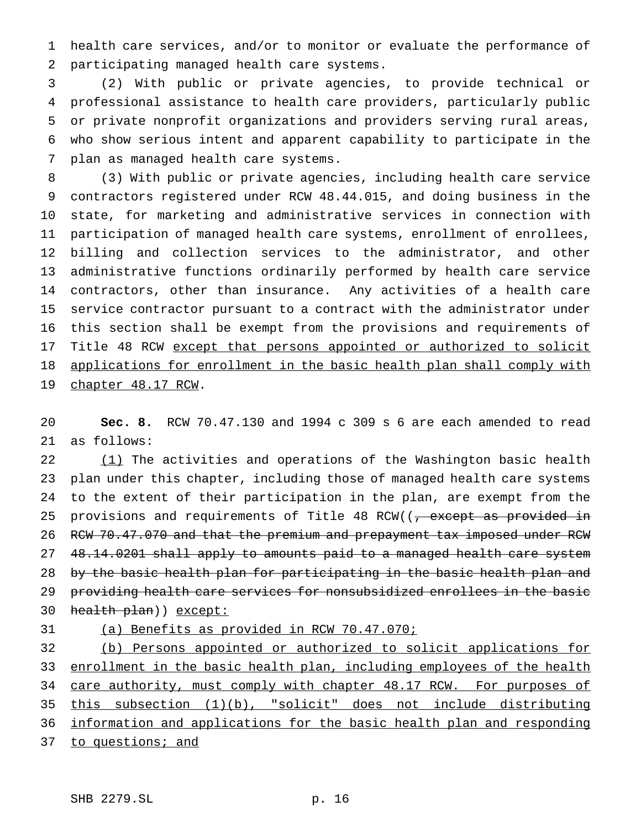health care services, and/or to monitor or evaluate the performance of participating managed health care systems.

 (2) With public or private agencies, to provide technical or professional assistance to health care providers, particularly public or private nonprofit organizations and providers serving rural areas, who show serious intent and apparent capability to participate in the plan as managed health care systems.

 (3) With public or private agencies, including health care service contractors registered under RCW 48.44.015, and doing business in the state, for marketing and administrative services in connection with participation of managed health care systems, enrollment of enrollees, billing and collection services to the administrator, and other administrative functions ordinarily performed by health care service contractors, other than insurance. Any activities of a health care service contractor pursuant to a contract with the administrator under this section shall be exempt from the provisions and requirements of 17 Title 48 RCW except that persons appointed or authorized to solicit 18 applications for enrollment in the basic health plan shall comply with 19 chapter 48.17 RCW.

 **Sec. 8.** RCW 70.47.130 and 1994 c 309 s 6 are each amended to read as follows:

22 (1) The activities and operations of the Washington basic health plan under this chapter, including those of managed health care systems to the extent of their participation in the plan, are exempt from the 25 provisions and requirements of Title 48 RCW((, except as provided in RCW 70.47.070 and that the premium and prepayment tax imposed under RCW 27 48.14.0201 shall apply to amounts paid to a managed health care system 28 by the basic health plan for participating in the basic health plan and providing health care services for nonsubsidized enrollees in the basic 30 health plan)) except:

(a) Benefits as provided in RCW 70.47.070;

 (b) Persons appointed or authorized to solicit applications for 33 enrollment in the basic health plan, including employees of the health 34 care authority, must comply with chapter 48.17 RCW. For purposes of this subsection (1)(b), "solicit" does not include distributing information and applications for the basic health plan and responding 37 to questions; and